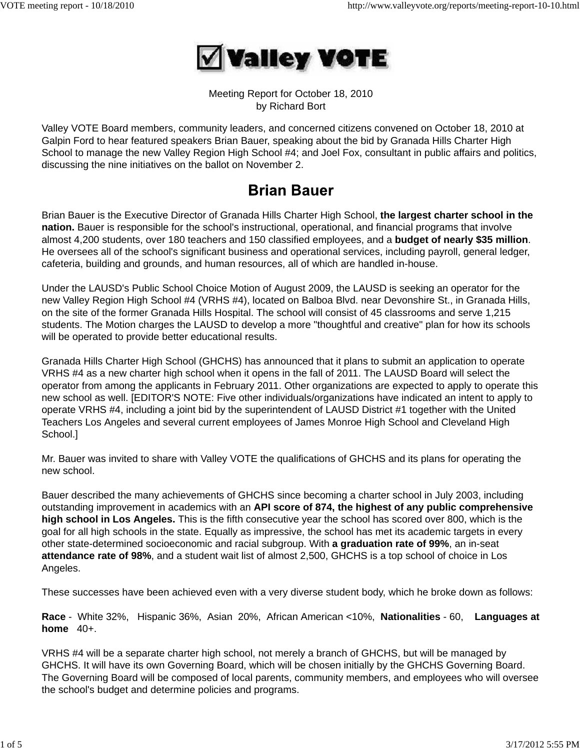

Meeting Report for October 18, 2010 by Richard Bort

Valley VOTE Board members, community leaders, and concerned citizens convened on October 18, 2010 at Galpin Ford to hear featured speakers Brian Bauer, speaking about the bid by Granada Hills Charter High School to manage the new Valley Region High School #4; and Joel Fox, consultant in public affairs and politics, discussing the nine initiatives on the ballot on November 2.

# **Brian Bauer**

Brian Bauer is the Executive Director of Granada Hills Charter High School, **the largest charter school in the nation.** Bauer is responsible for the school's instructional, operational, and financial programs that involve almost 4,200 students, over 180 teachers and 150 classified employees, and a **budget of nearly \$35 million**. He oversees all of the school's significant business and operational services, including payroll, general ledger, cafeteria, building and grounds, and human resources, all of which are handled in-house.

Under the LAUSD's Public School Choice Motion of August 2009, the LAUSD is seeking an operator for the new Valley Region High School #4 (VRHS #4), located on Balboa Blvd. near Devonshire St., in Granada Hills, on the site of the former Granada Hills Hospital. The school will consist of 45 classrooms and serve 1,215 students. The Motion charges the LAUSD to develop a more "thoughtful and creative" plan for how its schools will be operated to provide better educational results.

Granada Hills Charter High School (GHCHS) has announced that it plans to submit an application to operate VRHS #4 as a new charter high school when it opens in the fall of 2011. The LAUSD Board will select the operator from among the applicants in February 2011. Other organizations are expected to apply to operate this new school as well. [EDITOR'S NOTE: Five other individuals/organizations have indicated an intent to apply to operate VRHS #4, including a joint bid by the superintendent of LAUSD District #1 together with the United Teachers Los Angeles and several current employees of James Monroe High School and Cleveland High School.]

Mr. Bauer was invited to share with Valley VOTE the qualifications of GHCHS and its plans for operating the new school.

Bauer described the many achievements of GHCHS since becoming a charter school in July 2003, including outstanding improvement in academics with an **API score of 874, the highest of any public comprehensive high school in Los Angeles.** This is the fifth consecutive year the school has scored over 800, which is the goal for all high schools in the state. Equally as impressive, the school has met its academic targets in every other state-determined socioeconomic and racial subgroup. With **a graduation rate of 99%**, an in-seat **attendance rate of 98%**, and a student wait list of almost 2,500, GHCHS is a top school of choice in Los Angeles.

These successes have been achieved even with a very diverse student body, which he broke down as follows:

**Race** - White 32%, Hispanic 36%, Asian 20%, African American <10%, **Nationalities** - 60, **Languages at home** 40+.

VRHS #4 will be a separate charter high school, not merely a branch of GHCHS, but will be managed by GHCHS. It will have its own Governing Board, which will be chosen initially by the GHCHS Governing Board. The Governing Board will be composed of local parents, community members, and employees who will oversee the school's budget and determine policies and programs.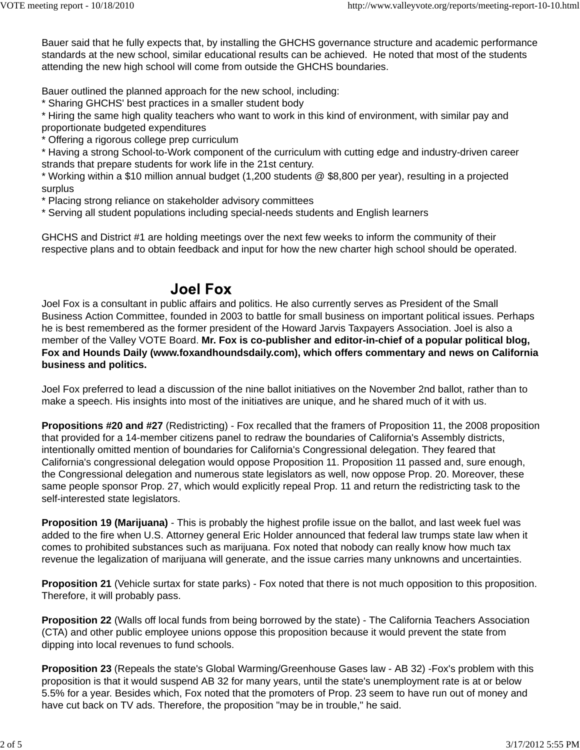Bauer said that he fully expects that, by installing the GHCHS governance structure and academic performance standards at the new school, similar educational results can be achieved. He noted that most of the students attending the new high school will come from outside the GHCHS boundaries.

Bauer outlined the planned approach for the new school, including:

\* Sharing GHCHS' best practices in a smaller student body

\* Hiring the same high quality teachers who want to work in this kind of environment, with similar pay and proportionate budgeted expenditures

\* Offering a rigorous college prep curriculum

\* Having a strong School-to-Work component of the curriculum with cutting edge and industry-driven career strands that prepare students for work life in the 21st century.

\* Working within a \$10 million annual budget (1,200 students @ \$8,800 per year), resulting in a projected surplus

\* Placing strong reliance on stakeholder advisory committees

\* Serving all student populations including special-needs students and English learners

GHCHS and District #1 are holding meetings over the next few weeks to inform the community of their respective plans and to obtain feedback and input for how the new charter high school should be operated.

## **Joel Fox**

Joel Fox is a consultant in public affairs and politics. He also currently serves as President of the Small Business Action Committee, founded in 2003 to battle for small business on important political issues. Perhaps he is best remembered as the former president of the Howard Jarvis Taxpayers Association. Joel is also a member of the Valley VOTE Board. **Mr. Fox is co-publisher and editor-in-chief of a popular political blog, Fox and Hounds Daily (www.foxandhoundsdaily.com), which offers commentary and news on California business and politics.**

Joel Fox preferred to lead a discussion of the nine ballot initiatives on the November 2nd ballot, rather than to make a speech. His insights into most of the initiatives are unique, and he shared much of it with us.

**Propositions #20 and #27** (Redistricting) - Fox recalled that the framers of Proposition 11, the 2008 proposition that provided for a 14-member citizens panel to redraw the boundaries of California's Assembly districts, intentionally omitted mention of boundaries for California's Congressional delegation. They feared that California's congressional delegation would oppose Proposition 11. Proposition 11 passed and, sure enough, the Congressional delegation and numerous state legislators as well, now oppose Prop. 20. Moreover, these same people sponsor Prop. 27, which would explicitly repeal Prop. 11 and return the redistricting task to the self-interested state legislators.

**Proposition 19 (Marijuana)** - This is probably the highest profile issue on the ballot, and last week fuel was added to the fire when U.S. Attorney general Eric Holder announced that federal law trumps state law when it comes to prohibited substances such as marijuana. Fox noted that nobody can really know how much tax revenue the legalization of marijuana will generate, and the issue carries many unknowns and uncertainties.

**Proposition 21** (Vehicle surtax for state parks) - Fox noted that there is not much opposition to this proposition. Therefore, it will probably pass.

**Proposition 22** (Walls off local funds from being borrowed by the state) - The California Teachers Association (CTA) and other public employee unions oppose this proposition because it would prevent the state from dipping into local revenues to fund schools.

**Proposition 23** (Repeals the state's Global Warming/Greenhouse Gases law - AB 32) -Fox's problem with this proposition is that it would suspend AB 32 for many years, until the state's unemployment rate is at or below 5.5% for a year. Besides which, Fox noted that the promoters of Prop. 23 seem to have run out of money and have cut back on TV ads. Therefore, the proposition "may be in trouble," he said.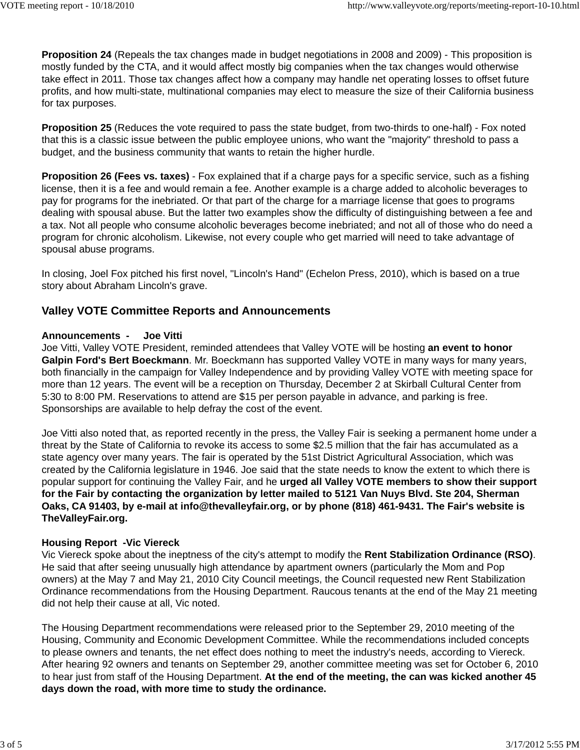**Proposition 24** (Repeals the tax changes made in budget negotiations in 2008 and 2009) - This proposition is mostly funded by the CTA, and it would affect mostly big companies when the tax changes would otherwise take effect in 2011. Those tax changes affect how a company may handle net operating losses to offset future profits, and how multi-state, multinational companies may elect to measure the size of their California business for tax purposes.

**Proposition 25** (Reduces the vote required to pass the state budget, from two-thirds to one-half) - Fox noted that this is a classic issue between the public employee unions, who want the "majority" threshold to pass a budget, and the business community that wants to retain the higher hurdle.

**Proposition 26 (Fees vs. taxes)** - Fox explained that if a charge pays for a specific service, such as a fishing license, then it is a fee and would remain a fee. Another example is a charge added to alcoholic beverages to pay for programs for the inebriated. Or that part of the charge for a marriage license that goes to programs dealing with spousal abuse. But the latter two examples show the difficulty of distinguishing between a fee and a tax. Not all people who consume alcoholic beverages become inebriated; and not all of those who do need a program for chronic alcoholism. Likewise, not every couple who get married will need to take advantage of spousal abuse programs.

In closing, Joel Fox pitched his first novel, "Lincoln's Hand" (Echelon Press, 2010), which is based on a true story about Abraham Lincoln's grave.

### **Valley VOTE Committee Reports and Announcements**

### **Announcements - Joe Vitti**

Joe Vitti, Valley VOTE President, reminded attendees that Valley VOTE will be hosting **an event to honor Galpin Ford's Bert Boeckmann**. Mr. Boeckmann has supported Valley VOTE in many ways for many years, both financially in the campaign for Valley Independence and by providing Valley VOTE with meeting space for more than 12 years. The event will be a reception on Thursday, December 2 at Skirball Cultural Center from 5:30 to 8:00 PM. Reservations to attend are \$15 per person payable in advance, and parking is free. Sponsorships are available to help defray the cost of the event.

Joe Vitti also noted that, as reported recently in the press, the Valley Fair is seeking a permanent home under a threat by the State of California to revoke its access to some \$2.5 million that the fair has accumulated as a state agency over many years. The fair is operated by the 51st District Agricultural Association, which was created by the California legislature in 1946. Joe said that the state needs to know the extent to which there is popular support for continuing the Valley Fair, and he **urged all Valley VOTE members to show their support for the Fair by contacting the organization by letter mailed to 5121 Van Nuys Blvd. Ste 204, Sherman Oaks, CA 91403, by e-mail at info@thevalleyfair.org, or by phone (818) 461-9431. The Fair's website is TheValleyFair.org.**

### **Housing Report -Vic Viereck**

Vic Viereck spoke about the ineptness of the city's attempt to modify the **Rent Stabilization Ordinance (RSO)**. He said that after seeing unusually high attendance by apartment owners (particularly the Mom and Pop owners) at the May 7 and May 21, 2010 City Council meetings, the Council requested new Rent Stabilization Ordinance recommendations from the Housing Department. Raucous tenants at the end of the May 21 meeting did not help their cause at all, Vic noted.

The Housing Department recommendations were released prior to the September 29, 2010 meeting of the Housing, Community and Economic Development Committee. While the recommendations included concepts to please owners and tenants, the net effect does nothing to meet the industry's needs, according to Viereck. After hearing 92 owners and tenants on September 29, another committee meeting was set for October 6, 2010 to hear just from staff of the Housing Department. **At the end of the meeting, the can was kicked another 45 days down the road, with more time to study the ordinance.**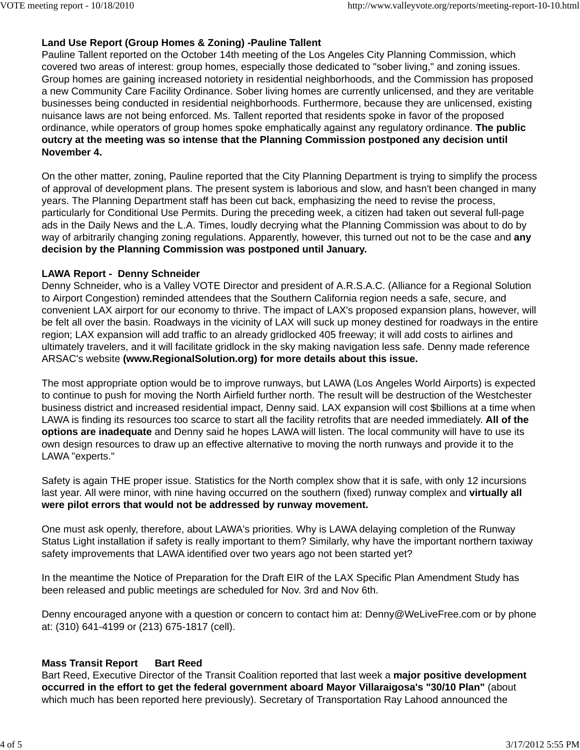### **Land Use Report (Group Homes & Zoning) -Pauline Tallent**

Pauline Tallent reported on the October 14th meeting of the Los Angeles City Planning Commission, which covered two areas of interest: group homes, especially those dedicated to "sober living," and zoning issues. Group homes are gaining increased notoriety in residential neighborhoods, and the Commission has proposed a new Community Care Facility Ordinance. Sober living homes are currently unlicensed, and they are veritable businesses being conducted in residential neighborhoods. Furthermore, because they are unlicensed, existing nuisance laws are not being enforced. Ms. Tallent reported that residents spoke in favor of the proposed ordinance, while operators of group homes spoke emphatically against any regulatory ordinance. **The public outcry at the meeting was so intense that the Planning Commission postponed any decision until November 4.**

On the other matter, zoning, Pauline reported that the City Planning Department is trying to simplify the process of approval of development plans. The present system is laborious and slow, and hasn't been changed in many years. The Planning Department staff has been cut back, emphasizing the need to revise the process, particularly for Conditional Use Permits. During the preceding week, a citizen had taken out several full-page ads in the Daily News and the L.A. Times, loudly decrying what the Planning Commission was about to do by way of arbitrarily changing zoning regulations. Apparently, however, this turned out not to be the case and **any decision by the Planning Commission was postponed until January.**

#### **LAWA Report - Denny Schneider**

Denny Schneider, who is a Valley VOTE Director and president of A.R.S.A.C. (Alliance for a Regional Solution to Airport Congestion) reminded attendees that the Southern California region needs a safe, secure, and convenient LAX airport for our economy to thrive. The impact of LAX's proposed expansion plans, however, will be felt all over the basin. Roadways in the vicinity of LAX will suck up money destined for roadways in the entire region; LAX expansion will add traffic to an already gridlocked 405 freeway; it will add costs to airlines and ultimately travelers, and it will facilitate gridlock in the sky making navigation less safe. Denny made reference ARSAC's website **(www.RegionalSolution.org) for more details about this issue.**

The most appropriate option would be to improve runways, but LAWA (Los Angeles World Airports) is expected to continue to push for moving the North Airfield further north. The result will be destruction of the Westchester business district and increased residential impact, Denny said. LAX expansion will cost \$billions at a time when LAWA is finding its resources too scarce to start all the facility retrofits that are needed immediately. **All of the options are inadequate** and Denny said he hopes LAWA will listen. The local community will have to use its own design resources to draw up an effective alternative to moving the north runways and provide it to the LAWA "experts."

Safety is again THE proper issue. Statistics for the North complex show that it is safe, with only 12 incursions last year. All were minor, with nine having occurred on the southern (fixed) runway complex and **virtually all were pilot errors that would not be addressed by runway movement.** 

One must ask openly, therefore, about LAWA's priorities. Why is LAWA delaying completion of the Runway Status Light installation if safety is really important to them? Similarly, why have the important northern taxiway safety improvements that LAWA identified over two years ago not been started yet?

In the meantime the Notice of Preparation for the Draft EIR of the LAX Specific Plan Amendment Study has been released and public meetings are scheduled for Nov. 3rd and Nov 6th.

Denny encouraged anyone with a question or concern to contact him at: Denny@WeLiveFree.com or by phone at: (310) 641-4199 or (213) 675-1817 (cell).

### **Mass Transit Report Bart Reed**

Bart Reed, Executive Director of the Transit Coalition reported that last week a **major positive development occurred in the effort to get the federal government aboard Mayor Villaraigosa's "30/10 Plan"** (about which much has been reported here previously). Secretary of Transportation Ray Lahood announced the